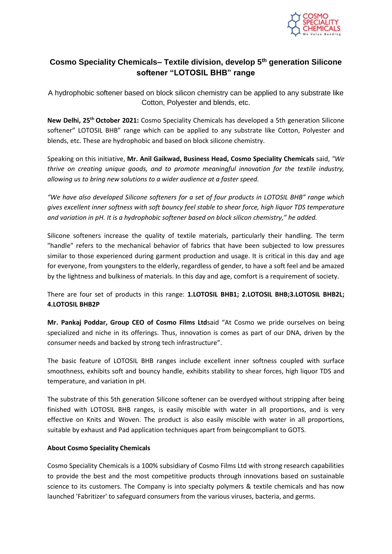

## **Cosmo Speciality Chemicals– Textile division, develop 5th generation Silicone softener "LOTOSIL BHB" range**

A hydrophobic softener based on block silicon chemistry can be applied to any substrate like Cotton, Polyester and blends, etc.

New Delhi, 25<sup>th</sup> October 2021: Cosmo Speciality Chemicals has developed a 5th generation Silicone softener" LOTOSIL BHB" range which can be applied to any substrate like Cotton, Polyester and blends, etc. These are hydrophobic and based on block silicone chemistry.

Speaking on this initiative, **Mr. Anil Gaikwad, Business Head, Cosmo Speciality Chemicals** said, *"We thrive on creating unique goods, and to promote meaningful innovation for the textile industry, allowing us to bring new solutions to a wider audience at a faster speed.*

*"We have also developed Silicone softeners for a set of four products in LOTOSIL BHB" range which gives excellent inner softness with soft bouncy feel stable to shear force, high liquor TDS temperature and variation in pH. It is a hydrophobic softener based on block silicon chemistry," he added.*

Silicone softeners increase the quality of textile materials, particularly their handling. The term "handle" refers to the mechanical behavior of fabrics that have been subjected to low pressures similar to those experienced during garment production and usage. It is critical in this day and age for everyone, from youngsters to the elderly, regardless of gender, to have a soft feel and be amazed by the lightness and bulkiness of materials. In this day and age, comfort is a requirement of society.

There are four set of products in this range: **1.LOTOSIL BHB1; 2.LOTOSIL BHB;3.LOTOSIL BHB2L; 4.LOTOSIL BHB2P**

**Mr. Pankaj Poddar, Group CEO of Cosmo Films Ltd**said "At Cosmo we pride ourselves on being specialized and niche in its offerings. Thus, innovation is comes as part of our DNA, driven by the consumer needs and backed by strong tech infrastructure".

The basic feature of LOTOSIL BHB ranges include excellent inner softness coupled with surface smoothness, exhibits soft and bouncy handle, exhibits stability to shear forces, high liquor TDS and temperature, and variation in pH.

The substrate of this 5th generation Silicone softener can be overdyed without stripping after being finished with LOTOSIL BHB ranges, is easily miscible with water in all proportions, and is very effective on Knits and Woven. The product is also easily miscible with water in all proportions, suitable by exhaust and Pad application techniques apart from beingcompliant to GOTS.

## **About Cosmo Speciality Chemicals**

Cosmo Speciality Chemicals is a 100% subsidiary of Cosmo Films Ltd with strong research capabilities to provide the best and the most competitive products through innovations based on sustainable science to its customers. The Company is into specialty polymers & textile chemicals and has now launched 'Fabritizer' to safeguard consumers from the various viruses, bacteria, and germs.